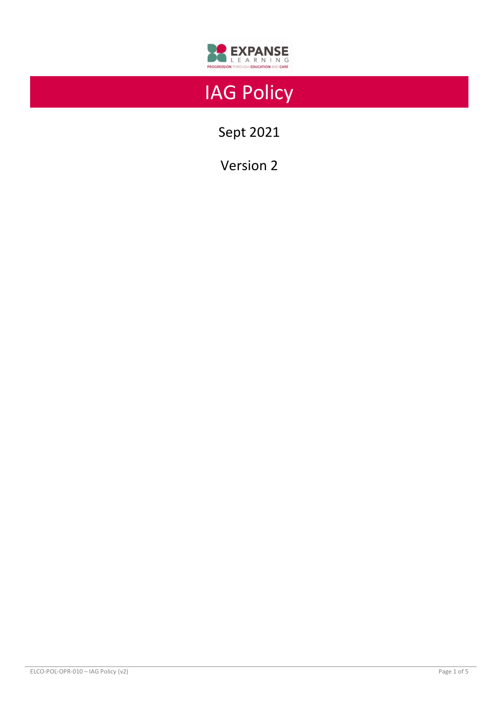

# IAG Policy

Sept 2021

Version 2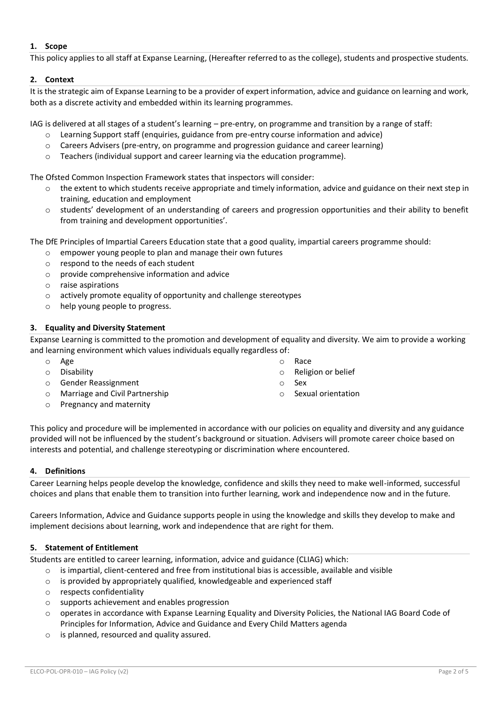# **1. Scope**

This policy applies to all staff at Expanse Learning, (Hereafter referred to as the college), students and prospective students.

# **2. Context**

It is the strategic aim of Expanse Learning to be a provider of expert information, advice and guidance on learning and work, both as a discrete activity and embedded within its learning programmes.

IAG is delivered at all stages of a student's learning – pre-entry, on programme and transition by a range of staff:

- o Learning Support staff (enquiries, guidance from pre-entry course information and advice)
- $\circ$  Careers Advisers (pre-entry, on programme and progression guidance and career learning)
- $\circ$  Teachers (individual support and career learning via the education programme).

The Ofsted Common Inspection Framework states that inspectors will consider:

- $\circ$  the extent to which students receive appropriate and timely information, advice and guidance on their next step in training, education and employment
- o students' development of an understanding of careers and progression opportunities and their ability to benefit from training and development opportunities'.

The DfE Principles of Impartial Careers Education state that a good quality, impartial careers programme should:

- o empower young people to plan and manage their own futures
- $\circ$  respond to the needs of each student
- o provide comprehensive information and advice
- o raise aspirations
- o actively promote equality of opportunity and challenge stereotypes
- o help young people to progress.

# **3. Equality and Diversity Statement**

Expanse Learning is committed to the promotion and development of equality and diversity. We aim to provide a working and learning environment which values individuals equally regardless of:

- o Age
- o Disability
- o Gender Reassignment
- o Marriage and Civil Partnership
- o Pregnancy and maternity
- o Race
- o Religion or belief
- o Sex
- o Sexual orientation

This policy and procedure will be implemented in accordance with our policies on equality and diversity and any guidance provided will not be influenced by the student's background or situation. Advisers will promote career choice based on interests and potential, and challenge stereotyping or discrimination where encountered.

# **4. Definitions**

Career Learning helps people develop the knowledge, confidence and skills they need to make well-informed, successful choices and plans that enable them to transition into further learning, work and independence now and in the future.

Careers Information, Advice and Guidance supports people in using the knowledge and skills they develop to make and implement decisions about learning, work and independence that are right for them.

# **5. Statement of Entitlement**

Students are entitled to career learning, information, advice and guidance (CLIAG) which:

- $\circ$  is impartial, client-centered and free from institutional bias is accessible, available and visible
- o is provided by appropriately qualified, knowledgeable and experienced staff
- o respects confidentiality
- o supports achievement and enables progression
- o operates in accordance with Expanse Learning Equality and Diversity Policies, the National IAG Board Code of Principles for Information, Advice and Guidance and Every Child Matters agenda
- o is planned, resourced and quality assured.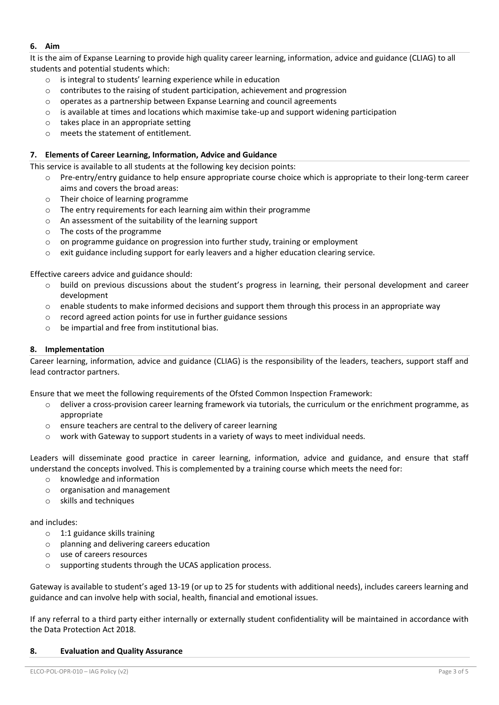# **6. Aim**

It is the aim of Expanse Learning to provide high quality career learning, information, advice and guidance (CLIAG) to all students and potential students which:

- o is integral to students' learning experience while in education
- o contributes to the raising of student participation, achievement and progression
- o operates as a partnership between Expanse Learning and council agreements
- $\circ$  is available at times and locations which maximise take-up and support widening participation
- o takes place in an appropriate setting
- o meets the statement of entitlement.

# **7. Elements of Career Learning, Information, Advice and Guidance**

This service is available to all students at the following key decision points:

- o Pre-entry/entry guidance to help ensure appropriate course choice which is appropriate to their long-term career aims and covers the broad areas:
- o Their choice of learning programme
- o The entry requirements for each learning aim within their programme
- o An assessment of the suitability of the learning support
- o The costs of the programme
- o on programme guidance on progression into further study, training or employment
- $\circ$  exit guidance including support for early leavers and a higher education clearing service.

Effective careers advice and guidance should:

- o build on previous discussions about the student's progress in learning, their personal development and career development
- o enable students to make informed decisions and support them through this process in an appropriate way
- o record agreed action points for use in further guidance sessions
- o be impartial and free from institutional bias.

# **8. Implementation**

Career learning, information, advice and guidance (CLIAG) is the responsibility of the leaders, teachers, support staff and lead contractor partners.

Ensure that we meet the following requirements of the Ofsted Common Inspection Framework:

- $\circ$  deliver a cross-provision career learning framework via tutorials, the curriculum or the enrichment programme, as appropriate
- o ensure teachers are central to the delivery of career learning
- $\circ$  work with Gateway to support students in a variety of ways to meet individual needs.

Leaders will disseminate good practice in career learning, information, advice and guidance, and ensure that staff understand the concepts involved. This is complemented by a training course which meets the need for:

- o knowledge and information
- o organisation and management
- $\circ$  skills and techniques

and includes:

- o 1:1 guidance skills training
- o planning and delivering careers education
- o use of careers resources
- o supporting students through the UCAS application process.

Gateway is available to student's aged 13-19 (or up to 25 for students with additional needs), includes careers learning and guidance and can involve help with social, health, financial and emotional issues.

If any referral to a third party either internally or externally student confidentiality will be maintained in accordance with the Data Protection Act 2018.

# **8. Evaluation and Quality Assurance**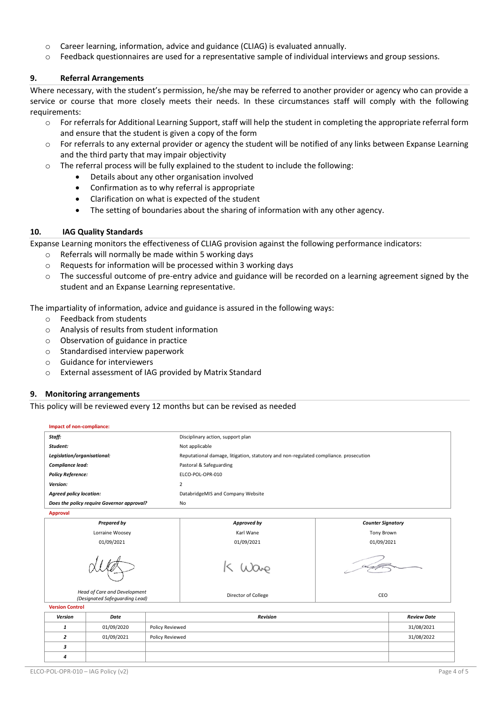- o Career learning, information, advice and guidance (CLIAG) is evaluated annually.
- o Feedback questionnaires are used for a representative sample of individual interviews and group sessions.

## **9. Referral Arrangements**

Where necessary, with the student's permission, he/she may be referred to another provider or agency who can provide a service or course that more closely meets their needs. In these circumstances staff will comply with the following requirements:

- $\circ$  For referrals for Additional Learning Support, staff will help the student in completing the appropriate referral form and ensure that the student is given a copy of the form
- $\circ$  For referrals to any external provider or agency the student will be notified of any links between Expanse Learning and the third party that may impair objectivity
- o The referral process will be fully explained to the student to include the following:
	- Details about any other organisation involved
	- Confirmation as to why referral is appropriate
	- Clarification on what is expected of the student
	- The setting of boundaries about the sharing of information with any other agency.

# **10. IAG Quality Standards**

Expanse Learning monitors the effectiveness of CLIAG provision against the following performance indicators:

- o Referrals will normally be made within 5 working days
- $\circ$  Requests for information will be processed within 3 working days
- $\circ$  The successful outcome of pre-entry advice and guidance will be recorded on a learning agreement signed by the student and an Expanse Learning representative.

The impartiality of information, advice and guidance is assured in the following ways:

- o Feedback from students
- o Analysis of results from student information
- o Observation of guidance in practice
- o Standardised interview paperwork
- o Guidance for interviewers
- o External assessment of IAG provided by Matrix Standard

# **9. Monitoring arrangements**

This policy will be reviewed every 12 months but can be revised as needed

| Impact of non-compliance:                                      |                               |                                                                                      |                                   |                    |                          |  |
|----------------------------------------------------------------|-------------------------------|--------------------------------------------------------------------------------------|-----------------------------------|--------------------|--------------------------|--|
| Staff:                                                         |                               |                                                                                      | Disciplinary action, support plan |                    |                          |  |
| Student:                                                       |                               | Not applicable                                                                       |                                   |                    |                          |  |
| Legislation/organisational:                                    |                               | Reputational damage, litigation, statutory and non-regulated compliance. prosecution |                                   |                    |                          |  |
| Compliance lead:                                               |                               | Pastoral & Safeguarding                                                              |                                   |                    |                          |  |
| <b>Policy Reference:</b>                                       |                               |                                                                                      | ELCO-POL-OPR-010                  |                    |                          |  |
| Version:                                                       |                               |                                                                                      | $\overline{2}$                    |                    |                          |  |
| <b>Agreed policy location:</b>                                 |                               |                                                                                      | DatabridgeMIS and Company Website |                    |                          |  |
| Does the policy require Governor approval?                     |                               |                                                                                      | No                                |                    |                          |  |
| <b>Approval</b>                                                |                               |                                                                                      |                                   |                    |                          |  |
| <b>Prepared by</b>                                             |                               |                                                                                      | Approved by                       |                    | <b>Counter Signatory</b> |  |
| Lorraine Woosey                                                |                               |                                                                                      | Karl Wane                         | Tony Brown         |                          |  |
| 01/09/2021                                                     |                               |                                                                                      | 01/09/2021                        | 01/09/2021         |                          |  |
|                                                                |                               |                                                                                      |                                   |                    |                          |  |
| Head of Care and Development<br>(Designated Safeguarding Lead) |                               |                                                                                      | Director of College               | CEO                |                          |  |
| <b>Version Control</b>                                         |                               |                                                                                      |                                   |                    |                          |  |
| <b>Version</b>                                                 | Date                          | <b>Revision</b>                                                                      |                                   | <b>Review Date</b> |                          |  |
| 1                                                              | 01/09/2020<br>Policy Reviewed |                                                                                      |                                   |                    | 31/08/2021               |  |
| $\overline{2}$                                                 | 01/09/2021<br>Policy Reviewed |                                                                                      |                                   |                    | 31/08/2022               |  |

*3 4*